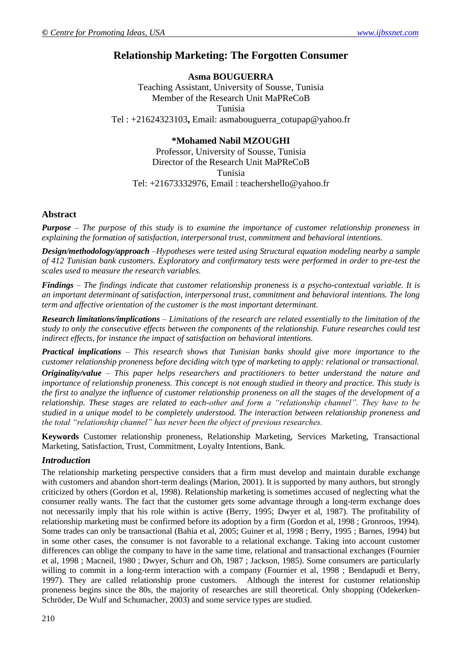# **Relationship Marketing: The Forgotten Consumer**

**Asma BOUGUERRA** Teaching Assistant, University of Sousse, Tunisia Member of the Research Unit MaPReCoB Tunisia Tel : +21624323103**,** Email: [asmabouguerra\\_cotupap@yahoo.fr](mailto:asmabouguerra_cotupap@yahoo.fr)

# **\*Mohamed Nabil MZOUGHI**

Professor, University of Sousse, Tunisia Director of the Research Unit MaPReCoB Tunisia Tel: +21673332976, Email : [teachershello@yahoo.fr](mailto:teachershello@yahoo.fr)

# **Abstract**

*Purpose – The purpose of this study is to examine the importance of customer relationship proneness in explaining the formation of satisfaction, interpersonal trust, commitment and behavioral intentions.*

*Design/methodology/approach –Hypotheses were tested using Structural equation modeling nearby a sample of 412 Tunisian bank customers. Exploratory and confirmatory tests were performed in order to pre-test the scales used to measure the research variables.*

*Findings – The findings indicate that customer relationship proneness is a psycho-contextual variable. It is an important determinant of satisfaction, interpersonal trust, commitment and behavioral intentions. The long term and affective orientation of the customer is the most important determinant.*

*Research limitations/implications – Limitations of the research are related essentially to the limitation of the study to only the consecutive effects between the components of the relationship. Future researches could test indirect effects, for instance the impact of satisfaction on behavioral intentions.*

*Practical implications – This research shows that Tunisian banks should give more importance to the customer relationship proneness before deciding witch type of marketing to apply: relational or transactional. Originality/value – This paper helps researchers and practitioners to better understand the nature and importance of relationship proneness. This concept is not enough studied in theory and practice. This study is the first to analyze the influence of customer relationship proneness on all the stages of the development of a relationship. These stages are related to each-other and form a "relationship channel". They have to be studied in a unique model to be completely understood. The interaction between relationship proneness and the total "relationship channel" has never been the object of previous researches.*

**Keywords** Customer relationship proneness, Relationship Marketing, Services Marketing, Transactional Marketing, Satisfaction, Trust, Commitment, Loyalty Intentions, Bank.

# *Introduction*

The relationship marketing perspective considers that a firm must develop and maintain durable exchange with customers and abandon short-term dealings (Marion, 2001). It is supported by many authors, but strongly criticized by others (Gordon et al, 1998). Relationship marketing is sometimes accused of neglecting what the consumer really wants. The fact that the customer gets some advantage through a long-term exchange does not necessarily imply that his role within is active (Berry, 1995; Dwyer et al, 1987). The profitability of relationship marketing must be confirmed before its adoption by a firm (Gordon et al, 1998 ; Gronroos, 1994). Some trades can only be transactional (Bahia et al, 2005; Guiner et al, 1998 ; Berry, 1995 ; Barnes, 1994) but in some other cases, the consumer is not favorable to a relational exchange. Taking into account customer differences can oblige the company to have in the same time, relational and transactional exchanges (Fournier et al, 1998 ; Macneil, 1980 ; Dwyer, Schurr and Oh, 1987 ; Jackson, 1985). Some consumers are particularly willing to commit in a long-term interaction with a company (Fournier et al, 1998 ; Bendapudi et Berry, 1997). They are called relationship prone customers. Although the interest for customer relationship proneness begins since the 80s, the majority of researches are still theoretical. Only shopping (Odekerken-Schröder, De Wulf and Schumacher, 2003) and some service types are studied.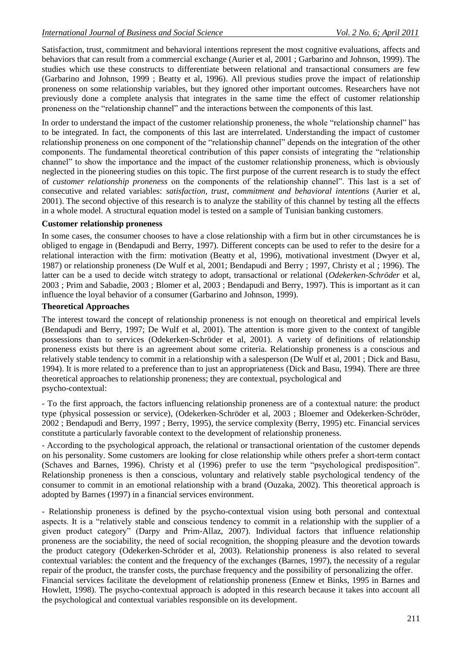Satisfaction, trust, commitment and behavioral intentions represent the most cognitive evaluations, affects and behaviors that can result from a commercial exchange (Aurier et al, 2001 ; Garbarino and Johnson, 1999). The studies which use these constructs to differentiate between relational and transactional consumers are few (Garbarino and Johnson, 1999 ; Beatty et al, 1996). All previous studies prove the impact of relationship proneness on some relationship variables, but they ignored other important outcomes. Researchers have not previously done a complete analysis that integrates in the same time the effect of customer relationship proneness on the "relationship channel" and the interactions between the components of this last.

In order to understand the impact of the customer relationship proneness, the whole "relationship channel" has to be integrated. In fact, the components of this last are interrelated. Understanding the impact of customer relationship proneness on one component of the "relationship channel" depends on the integration of the other components. The fundamental theoretical contribution of this paper consists of integrating the "relationship channel" to show the importance and the impact of the customer relationship proneness, which is obviously neglected in the pioneering studies on this topic. The first purpose of the current research is to study the effect of *customer relationship proneness* on the components of the relationship channel". This last is a set of consecutive and related variables: *satisfaction, trust, commitment and behavioral intentions* (Aurier et al, 2001). The second objective of this research is to analyze the stability of this channel by testing all the effects in a whole model. A structural equation model is tested on a sample of Tunisian banking customers.

#### **Customer relationship proneness**

In some cases, the consumer chooses to have a close relationship with a firm but in other circumstances he is obliged to engage in (Bendapudi and Berry, 1997). Different concepts can be used to refer to the desire for a relational interaction with the firm: motivation (Beatty et al, 1996), motivational investment (Dwyer et al, 1987) or relationship proneness (De Wulf et al, 2001; Bendapudi and Berry ; 1997, Christy et al ; 1996). The latter can be a used to decide witch strategy to adopt, transactional or relational (*Odekerken-Schröder* et al, 2003 ; Prim and Sabadie, 2003 ; Blomer et al, 2003 ; Bendapudi and Berry, 1997). This is important as it can influence the loyal behavior of a consumer (Garbarino and Johnson, 1999).

# **Theoretical Approaches**

The interest toward the concept of relationship proneness is not enough on theoretical and empirical levels (Bendapudi and Berry, 1997; De Wulf et al, 2001). The attention is more given to the context of tangible possessions than to services (Odekerken-Schröder et al, 2001). A variety of definitions of relationship proneness exists but there is an agreement about some criteria. Relationship proneness is a conscious and relatively stable tendency to commit in a relationship with a salesperson (De Wulf et al, 2001 ; Dick and Basu, 1994). It is more related to a preference than to just an appropriateness (Dick and Basu, 1994). There are three theoretical approaches to relationship proneness; they are contextual, psychological and psycho-contextual:

- To the first approach, the factors influencing relationship proneness are of a contextual nature: the product type (physical possession or service), (Odekerken-Schröder et al, 2003 ; Bloemer and Odekerken-Schröder, 2002 ; Bendapudi and Berry, 1997 ; Berry, 1995), the service complexity (Berry, 1995) etc. Financial services constitute a particularly favorable context to the development of relationship proneness.

- According to the psychological approach, the relational or transactional orientation of the customer depends on his personality. Some customers are looking for close relationship while others prefer a short-term contact (Schaves and Barnes, 1996). Christy et al (1996) prefer to use the term "psychological predisposition". Relationship proneness is then a conscious, voluntary and relatively stable psychological tendency of the consumer to commit in an emotional relationship with a brand (Ouzaka, 2002). This theoretical approach is adopted by Barnes (1997) in a financial services environment.

- Relationship proneness is defined by the psycho-contextual vision using both personal and contextual aspects. It is a "relatively stable and conscious tendency to commit in a relationship with the supplier of a given product category" (Darpy and Prim-Allaz, 2007). Individual factors that influence relationship proneness are the sociability, the need of social recognition, the shopping pleasure and the devotion towards the product category (Odekerken-Schröder et al, 2003). Relationship proneness is also related to several contextual variables: the content and the frequency of the exchanges (Barnes, 1997), the necessity of a regular repair of the product, the transfer costs, the purchase frequency and the possibility of personalizing the offer. Financial services facilitate the development of relationship proneness (Ennew et Binks, 1995 in Barnes and Howlett, 1998). The psycho-contextual approach is adopted in this research because it takes into account all

the psychological and contextual variables responsible on its development.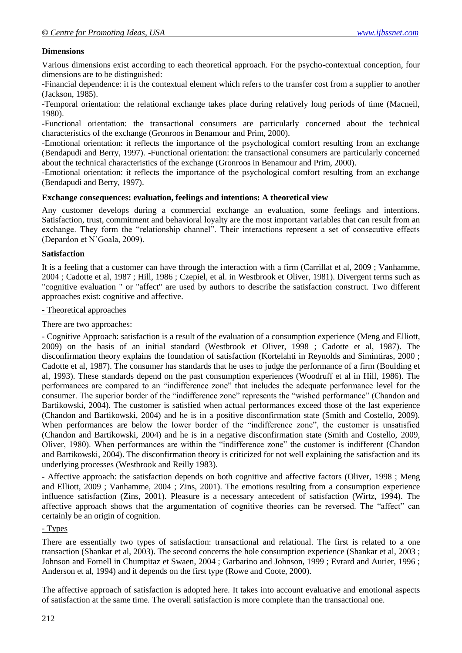# **Dimensions**

Various dimensions exist according to each theoretical approach. For the psycho-contextual conception, four dimensions are to be distinguished:

-Financial dependence: it is the contextual element which refers to the transfer cost from a supplier to another (Jackson, 1985).

-Temporal orientation: the relational exchange takes place during relatively long periods of time (Macneil, 1980).

-Functional orientation: the transactional consumers are particularly concerned about the technical characteristics of the exchange (Gronroos in Benamour and Prim, 2000).

-Emotional orientation: it reflects the importance of the psychological comfort resulting from an exchange (Bendapudi and Berry, 1997). -Functional orientation: the transactional consumers are particularly concerned about the technical characteristics of the exchange (Gronroos in Benamour and Prim, 2000).

-Emotional orientation: it reflects the importance of the psychological comfort resulting from an exchange (Bendapudi and Berry, 1997).

#### **Exchange consequences: evaluation, feelings and intentions: A theoretical view**

Any customer develops during a commercial exchange an evaluation, some feelings and intentions. Satisfaction, trust, commitment and behavioral loyalty are the most important variables that can result from an exchange. They form the "relationship channel". Their interactions represent a set of consecutive effects (Depardon et N'Goala, 2009).

#### **Satisfaction**

It is a feeling that a customer can have through the interaction with a firm (Carrillat et al, 2009 ; Vanhamme, 2004 ; Cadotte et al, 1987 ; Hill, 1986 ; Czepiel, et al. in Westbrook et Oliver, 1981). Divergent terms such as "cognitive evaluation " or "affect" are used by authors to describe the satisfaction construct. Two different approaches exist: cognitive and affective.

#### - Theoretical approaches

There are two approaches:

- Cognitive Approach: satisfaction is a result of the evaluation of a consumption experience (Meng and Elliott, 2009) on the basis of an initial standard (Westbrook et Oliver, 1998 ; Cadotte et al, 1987). The disconfirmation theory explains the foundation of satisfaction (Kortelahti in Reynolds and Simintiras, 2000 ; Cadotte et al, 1987). The consumer has standards that he uses to judge the performance of a firm (Boulding et al, 1993). These standards depend on the past consumption experiences (Woodruff et al in Hill, 1986). The performances are compared to an "indifference zone" that includes the adequate performance level for the consumer. The superior border of the "indifference zone" represents the "wished performance" (Chandon and Bartikowski, 2004). The customer is satisfied when actual performances exceed those of the last experience (Chandon and Bartikowski, 2004) and he is in a positive disconfirmation state (Smith and Costello, 2009). When performances are below the lower border of the "indifference zone", the customer is unsatisfied (Chandon and Bartikowski, 2004) and he is in a negative disconfirmation state (Smith and Costello, 2009, Oliver, 1980). When performances are within the "indifference zone" the customer is indifferent (Chandon and Bartikowski, 2004). The disconfirmation theory is criticized for not well explaining the satisfaction and its underlying processes (Westbrook and Reilly 1983).

- Affective approach: the satisfaction depends on both cognitive and affective factors (Oliver, 1998 ; Meng and Elliott, 2009 ; Vanhamme, 2004 ; Zins, 2001). The emotions resulting from a consumption experience influence satisfaction (Zins, 2001). Pleasure is a necessary antecedent of satisfaction (Wirtz, 1994). The affective approach shows that the argumentation of cognitive theories can be reversed. The "affect" can certainly be an origin of cognition.

# - Types

There are essentially two types of satisfaction: transactional and relational. The first is related to a one transaction (Shankar et al, 2003). The second concerns the hole consumption experience (Shankar et al, 2003 ; Johnson and Fornell in Chumpitaz et Swaen, 2004 ; Garbarino and Johnson, 1999 ; Evrard and Aurier, 1996 ; Anderson et al, 1994) and it depends on the first type (Rowe and Coote, 2000).

The affective approach of satisfaction is adopted here. It takes into account evaluative and emotional aspects of satisfaction at the same time. The overall satisfaction is more complete than the transactional one.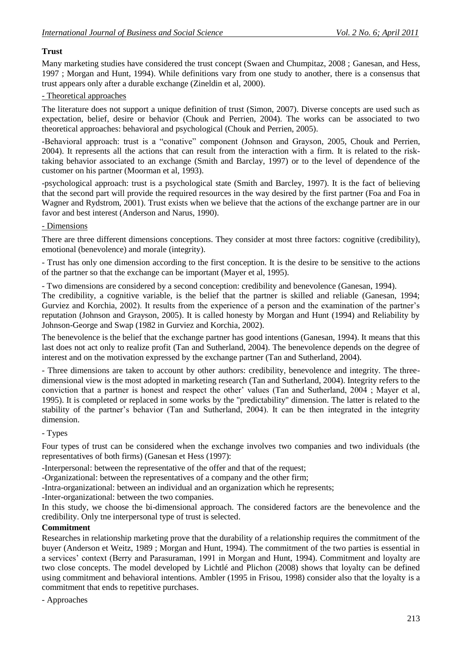# **Trust**

Many marketing studies have considered the trust concept (Swaen and Chumpitaz, 2008 ; Ganesan, and Hess, 1997 ; Morgan and Hunt, 1994). While definitions vary from one study to another, there is a consensus that trust appears only after a durable exchange (Zineldin et al, 2000).

# - Theoretical approaches

The literature does not support a unique definition of trust (Simon, 2007). Diverse concepts are used such as expectation, belief, desire or behavior (Chouk and Perrien, 2004). The works can be associated to two theoretical approaches: behavioral and psychological (Chouk and Perrien, 2005).

-Behavioral approach: trust is a "conative" component (Johnson and Grayson, 2005, Chouk and Perrien, 2004). It represents all the actions that can result from the interaction with a firm. It is related to the risktaking behavior associated to an exchange (Smith and Barclay, 1997) or to the level of dependence of the customer on his partner (Moorman et al, 1993).

-psychological approach: trust is a psychological state (Smith and Barcley, 1997). It is the fact of believing that the second part will provide the required resources in the way desired by the first partner (Foa and Foa in Wagner and Rydstrom, 2001). Trust exists when we believe that the actions of the exchange partner are in our favor and best interest (Anderson and Narus, 1990).

# - Dimensions

There are three different dimensions conceptions. They consider at most three factors: cognitive (credibility), emotional (benevolence) and morale (integrity).

- Trust has only one dimension according to the first conception. It is the desire to be sensitive to the actions of the partner so that the exchange can be important (Mayer et al, 1995).

- Two dimensions are considered by a second conception: credibility and benevolence (Ganesan, 1994).

The credibility, a cognitive variable, is the belief that the partner is skilled and reliable (Ganesan, 1994; Gurviez and Korchia, 2002). It results from the experience of a person and the examination of the partner's reputation (Johnson and Grayson, 2005). It is called honesty by Morgan and Hunt (1994) and Reliability by Johnson-George and Swap (1982 in Gurviez and Korchia, 2002).

The benevolence is the belief that the exchange partner has good intentions (Ganesan, 1994). It means that this last does not act only to realize profit (Tan and Sutherland, 2004). The benevolence depends on the degree of interest and on the motivation expressed by the exchange partner (Tan and Sutherland, 2004).

- Three dimensions are taken to account by other authors: credibility, benevolence and integrity. The threedimensional view is the most adopted in marketing research (Tan and Sutherland, 2004). Integrity refers to the conviction that a partner is honest and respect the other' values (Tan and Sutherland, 2004 ; Mayer et al, 1995). It is completed or replaced in some works by the "predictability" dimension. The latter is related to the stability of the partner's behavior (Tan and Sutherland, 2004). It can be then integrated in the integrity dimension.

# - Types

Four types of trust can be considered when the exchange involves two companies and two individuals (the representatives of both firms) (Ganesan et Hess (1997):

-Interpersonal: between the representative of the offer and that of the request;

-Organizational: between the representatives of a company and the other firm;

-Intra-organizational: between an individual and an organization which he represents;

-Inter-organizational: between the two companies.

In this study, we choose the bi-dimensional approach. The considered factors are the benevolence and the credibility. Only tne interpersonal type of trust is selected.

# **Commitment**

Researches in relationship marketing prove that the durability of a relationship requires the commitment of the buyer (Anderson et Weitz, 1989 ; Morgan and Hunt, 1994). The commitment of the two parties is essential in a services' context (Berry and Parasuraman, 1991 in Morgan and Hunt, 1994). Commitment and loyalty are two close concepts. The model developed by Lichtlé and Plichon (2008) shows that loyalty can be defined using commitment and behavioral intentions. Ambler (1995 in Frisou, 1998) consider also that the loyalty is a commitment that ends to repetitive purchases.

- Approaches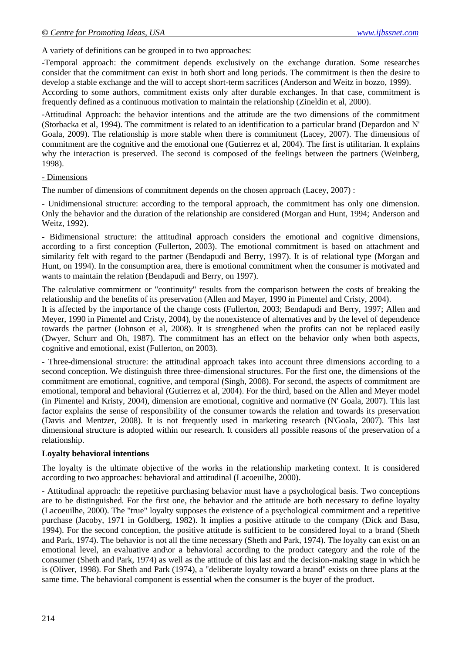A variety of definitions can be grouped in to two approaches:

-Temporal approach: the commitment depends exclusively on the exchange duration. Some researches consider that the commitment can exist in both short and long periods. The commitment is then the desire to develop a stable exchange and the will to accept short-term sacrifices (Anderson and Weitz in bozzo, 1999).

According to some authors, commitment exists only after durable exchanges. In that case, commitment is frequently defined as a continuous motivation to maintain the relationship (Zineldin et al, 2000).

-Attitudinal Approach: the behavior intentions and the attitude are the two dimensions of the commitment (Storbacka et al, 1994). The commitment is related to an identification to a particular brand (Depardon and N' Goala, 2009). The relationship is more stable when there is commitment (Lacey, 2007). The dimensions of commitment are the cognitive and the emotional one (Gutierrez et al, 2004). The first is utilitarian. It explains why the interaction is preserved. The second is composed of the feelings between the partners (Weinberg, 1998).

#### - Dimensions

The number of dimensions of commitment depends on the chosen approach (Lacey, 2007) :

- Unidimensional structure: according to the temporal approach, the commitment has only one dimension. Only the behavior and the duration of the relationship are considered (Morgan and Hunt, 1994; Anderson and Weitz, 1992).

- Bidimensional structure: the attitudinal approach considers the emotional and cognitive dimensions, according to a first conception (Fullerton, 2003). The emotional commitment is based on attachment and similarity felt with regard to the partner (Bendapudi and Berry, 1997). It is of relational type (Morgan and Hunt, on 1994). In the consumption area, there is emotional commitment when the consumer is motivated and wants to maintain the relation (Bendapudi and Berry, on 1997).

The calculative commitment or "continuity" results from the comparison between the costs of breaking the relationship and the benefits of its preservation (Allen and Mayer, 1990 in Pimentel and Cristy, 2004).

It is affected by the importance of the change costs (Fullerton, 2003; Bendapudi and Berry, 1997; Allen and Meyer, 1990 in Pimentel and Cristy, 2004), by the nonexistence of alternatives and by the level of dependence towards the partner (Johnson et al, 2008). It is strengthened when the profits can not be replaced easily (Dwyer, Schurr and Oh, 1987). The commitment has an effect on the behavior only when both aspects, cognitive and emotional, exist (Fullerton, on 2003).

- Three-dimensional structure: the attitudinal approach takes into account three dimensions according to a second conception. We distinguish three three-dimensional structures. For the first one, the dimensions of the commitment are emotional, cognitive, and temporal (Singh, 2008). For second, the aspects of commitment are emotional, temporal and behavioral (Gutierrez et al, 2004). For the third, based on the Allen and Meyer model (in Pimentel and Kristy, 2004), dimension are emotional, cognitive and normative (N' Goala, 2007). This last factor explains the sense of responsibility of the consumer towards the relation and towards its preservation (Davis and Mentzer, 2008). It is not frequently used in marketing research (N'Goala, 2007). This last dimensional structure is adopted within our research. It considers all possible reasons of the preservation of a relationship.

# **Loyalty behavioral intentions**

The loyalty is the ultimate objective of the works in the relationship marketing context. It is considered according to two approaches: behavioral and attitudinal (Lacoeuilhe, 2000).

- Attitudinal approach: the repetitive purchasing behavior must have a psychological basis. Two conceptions are to be distinguished. For the first one, the behavior and the attitude are both necessary to define loyalty (Lacoeuilhe, 2000). The "true" loyalty supposes the existence of a psychological commitment and a repetitive purchase (Jacoby, 1971 in Goldberg, 1982). It implies a positive attitude to the company (Dick and Basu, 1994). For the second conception, the positive attitude is sufficient to be considered loyal to a brand (Sheth and Park, 1974). The behavior is not all the time necessary (Sheth and Park, 1974). The loyalty can exist on an emotional level, an evaluative and\or a behavioral according to the product category and the role of the consumer (Sheth and Park, 1974) as well as the attitude of this last and the decision-making stage in which he is (Oliver, 1998). For Sheth and Park (1974), a "deliberate loyalty toward a brand" exists on three plans at the same time. The behavioral component is essential when the consumer is the buyer of the product.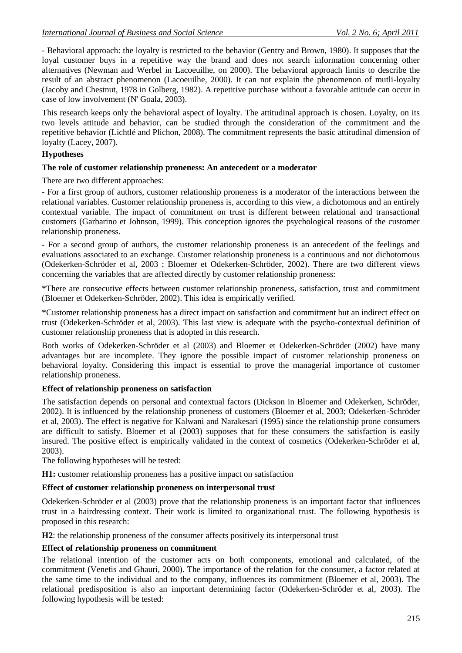- Behavioral approach: the loyalty is restricted to the behavior (Gentry and Brown, 1980). It supposes that the loyal customer buys in a repetitive way the brand and does not search information concerning other alternatives (Newman and Werbel in Lacoeuilhe, on 2000). The behavioral approach limits to describe the result of an abstract phenomenon (Lacoeuilhe, 2000). It can not explain the phenomenon of mutli-loyalty (Jacoby and Chestnut, 1978 in Golberg, 1982). A repetitive purchase without a favorable attitude can occur in case of low involvement (N' Goala, 2003).

This research keeps only the behavioral aspect of loyalty. The attitudinal approach is chosen. Loyalty, on its two levels attitude and behavior, can be studied through the consideration of the commitment and the repetitive behavior (Lichtlé and Plichon, 2008). The commitment represents the basic attitudinal dimension of loyalty (Lacey, 2007).

#### **Hypotheses**

#### **The role of customer relationship proneness: An antecedent or a moderator**

There are two different approaches:

- For a first group of authors, customer relationship proneness is a moderator of the interactions between the relational variables. Customer relationship proneness is, according to this view, a dichotomous and an entirely contextual variable. The impact of commitment on trust is different between relational and transactional customers (Garbarino et Johnson, 1999). This conception ignores the psychological reasons of the customer relationship proneness.

- For a second group of authors, the customer relationship proneness is an antecedent of the feelings and evaluations associated to an exchange. Customer relationship proneness is a continuous and not dichotomous (Odekerken-Schröder et al, 2003 ; Bloemer et Odekerken-Schröder, 2002). There are two different views concerning the variables that are affected directly by customer relationship proneness:

\*There are consecutive effects between customer relationship proneness, satisfaction, trust and commitment (Bloemer et Odekerken-Schröder, 2002). This idea is empirically verified.

\*Customer relationship proneness has a direct impact on satisfaction and commitment but an indirect effect on trust (Odekerken-Schröder et al, 2003). This last view is adequate with the psycho-contextual definition of customer relationship proneness that is adopted in this research.

Both works of Odekerken-Schröder et al (2003) and Bloemer et Odekerken-Schröder (2002) have many advantages but are incomplete. They ignore the possible impact of customer relationship proneness on behavioral loyalty. Considering this impact is essential to prove the managerial importance of customer relationship proneness.

#### **Effect of relationship proneness on satisfaction**

The satisfaction depends on personal and contextual factors (Dickson in Bloemer and Odekerken, Schröder, 2002). It is influenced by the relationship proneness of customers (Bloemer et al, 2003; Odekerken-Schröder et al, 2003). The effect is negative for Kalwani and Narakesari (1995) since the relationship prone consumers are difficult to satisfy. Bloemer et al (2003) supposes that for these consumers the satisfaction is easily insured. The positive effect is empirically validated in the context of cosmetics (Odekerken-Schröder et al, 2003).

The following hypotheses will be tested:

**H1:** customer relationship proneness has a positive impact on satisfaction

#### **Effect of customer relationship proneness on interpersonal trust**

Odekerken-Schröder et al (2003) prove that the relationship proneness is an important factor that influences trust in a hairdressing context. Their work is limited to organizational trust. The following hypothesis is proposed in this research:

**H2**: the relationship proneness of the consumer affects positively its interpersonal trust

#### **Effect of relationship proneness on commitment**

The relational intention of the customer acts on both components, emotional and calculated, of the commitment (Venetis and Ghauri, 2000). The importance of the relation for the consumer, a factor related at the same time to the individual and to the company, influences its commitment (Bloemer et al, 2003). The relational predisposition is also an important determining factor (Odekerken-Schröder et al, 2003). The following hypothesis will be tested: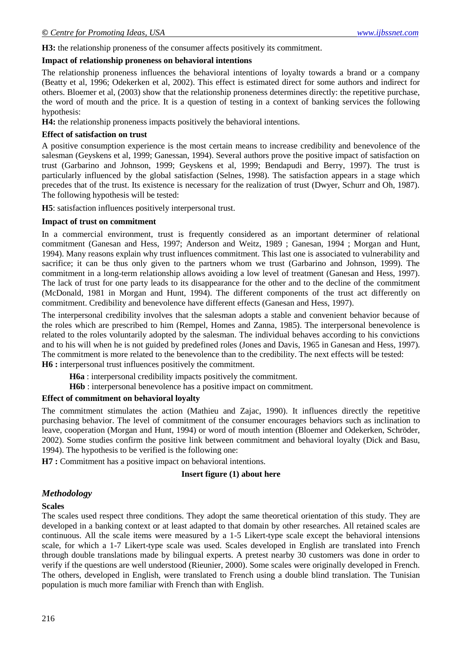**H3:** the relationship proneness of the consumer affects positively its commitment.

#### **Impact of relationship proneness on behavioral intentions**

The relationship proneness influences the behavioral intentions of loyalty towards a brand or a company (Beatty et al, 1996; Odekerken et al, 2002). This effect is estimated direct for some authors and indirect for others. Bloemer et al, (2003) show that the relationship proneness determines directly: the repetitive purchase, the word of mouth and the price. It is a question of testing in a context of banking services the following hypothesis:

**H4:** the relationship proneness impacts positively the behavioral intentions.

### **Effect of satisfaction on trust**

A positive consumption experience is the most certain means to increase credibility and benevolence of the salesman (Geyskens et al, 1999; Ganessan, 1994). Several authors prove the positive impact of satisfaction on trust (Garbarino and Johnson, 1999; Geyskens et al, 1999; Bendapudi and Berry, 1997). The trust is particularly influenced by the global satisfaction (Selnes, 1998). The satisfaction appears in a stage which precedes that of the trust. Its existence is necessary for the realization of trust (Dwyer, Schurr and Oh, 1987). The following hypothesis will be tested:

**H5**: satisfaction influences positively interpersonal trust.

#### **Impact of trust on commitment**

In a commercial environment, trust is frequently considered as an important determiner of relational commitment (Ganesan and Hess, 1997; Anderson and Weitz, 1989 ; Ganesan, 1994 ; Morgan and Hunt, 1994). Many reasons explain why trust influences commitment. This last one is associated to vulnerability and sacrifice; it can be thus only given to the partners whom we trust (Garbarino and Johnson, 1999). The commitment in a long-term relationship allows avoiding a low level of treatment (Ganesan and Hess, 1997). The lack of trust for one party leads to its disappearance for the other and to the decline of the commitment (McDonald, 1981 in Morgan and Hunt, 1994). The different components of the trust act differently on commitment. Credibility and benevolence have different effects (Ganesan and Hess, 1997).

The interpersonal credibility involves that the salesman adopts a stable and convenient behavior because of the roles which are prescribed to him (Rempel, Homes and Zanna, 1985). The interpersonal benevolence is related to the roles voluntarily adopted by the salesman. The individual behaves according to his convictions and to his will when he is not guided by predefined roles (Jones and Davis, 1965 in Ganesan and Hess, 1997). The commitment is more related to the benevolence than to the credibility. The next effects will be tested: **H6 :** interpersonal trust influences positively the commitment.

**H6a** : interpersonal credibility impacts positively the commitment.

**H6b** : interpersonal benevolence has a positive impact on commitment.

# **Effect of commitment on behavioral loyalty**

The commitment stimulates the action (Mathieu and Zajac, 1990). It influences directly the repetitive purchasing behavior. The level of commitment of the consumer encourages behaviors such as inclination to leave, cooperation (Morgan and Hunt, 1994) or word of mouth intention (Bloemer and Odekerken, Schröder, 2002). Some studies confirm the positive link between commitment and behavioral loyalty (Dick and Basu, 1994). The hypothesis to be verified is the following one:

**H7 :** Commitment has a positive impact on behavioral intentions.

# **Insert figure (1) about here**

# *Methodology*

#### **Scales**

The scales used respect three conditions. They adopt the same theoretical orientation of this study. They are developed in a banking context or at least adapted to that domain by other researches. All retained scales are continuous. All the scale items were measured by a 1-5 Likert-type scale except the behavioral intensions scale, for which a 1-7 Likert-type scale was used. Scales developed in English are translated into French through double translations made by bilingual experts. A pretest nearby 30 customers was done in order to verify if the questions are well understood (Rieunier, 2000). Some scales were originally developed in French. The others, developed in English, were translated to French using a double blind translation. The Tunisian population is much more familiar with French than with English.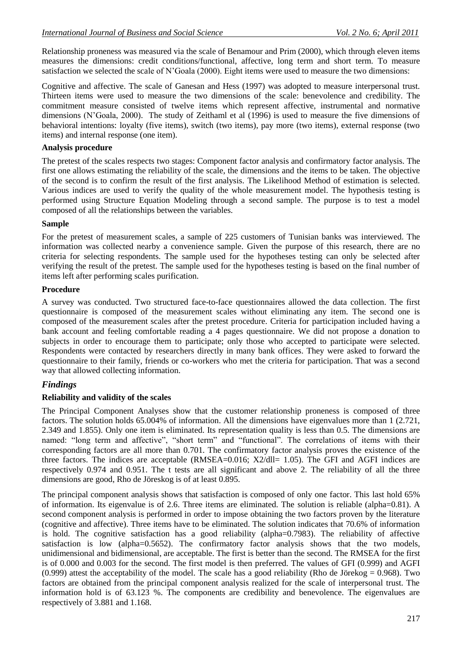Relationship proneness was measured via the scale of Benamour and Prim (2000), which through eleven items measures the dimensions: credit conditions/functional, affective, long term and short term. To measure satisfaction we selected the scale of N'Goala (2000). Eight items were used to measure the two dimensions:

Cognitive and affective. The scale of Ganesan and Hess (1997) was adopted to measure interpersonal trust. Thirteen items were used to measure the two dimensions of the scale: benevolence and credibility. The commitment measure consisted of twelve items which represent affective, instrumental and normative dimensions (N'Goala, 2000). The study of Zeithaml et al (1996) is used to measure the five dimensions of behavioral intentions: loyalty (five items), switch (two items), pay more (two items), external response (two items) and internal response (one item).

#### **Analysis procedure**

The pretest of the scales respects two stages: Component factor analysis and confirmatory factor analysis. The first one allows estimating the reliability of the scale, the dimensions and the items to be taken. The objective of the second is to confirm the result of the first analysis. The Likelihood Method of estimation is selected. Various indices are used to verify the quality of the whole measurement model. The hypothesis testing is performed using Structure Equation Modeling through a second sample. The purpose is to test a model composed of all the relationships between the variables.

#### **Sample**

For the pretest of measurement scales, a sample of 225 customers of Tunisian banks was interviewed. The information was collected nearby a convenience sample. Given the purpose of this research, there are no criteria for selecting respondents. The sample used for the hypotheses testing can only be selected after verifying the result of the pretest. The sample used for the hypotheses testing is based on the final number of items left after performing scales purification.

#### **Procedure**

A survey was conducted. Two structured face-to-face questionnaires allowed the data collection. The first questionnaire is composed of the measurement scales without eliminating any item. The second one is composed of the measurement scales after the pretest procedure. Criteria for participation included having a bank account and feeling comfortable reading a 4 pages questionnaire. We did not propose a donation to subjects in order to encourage them to participate; only those who accepted to participate were selected. Respondents were contacted by researchers directly in many bank offices. They were asked to forward the questionnaire to their family, friends or co-workers who met the criteria for participation. That was a second way that allowed collecting information.

# *Findings*

# **Reliability and validity of the scales**

The Principal Component Analyses show that the customer relationship proneness is composed of three factors. The solution holds 65.004% of information. All the dimensions have eigenvalues more than 1 (2.721, 2.349 and 1.855). Only one item is eliminated. Its representation quality is less than 0.5. The dimensions are named: "long term and affective", "short term" and "functional". The correlations of items with their corresponding factors are all more than 0.701. The confirmatory factor analysis proves the existence of the three factors. The indices are acceptable (RMSEA= $0.016$ ; X2/dll= 1.05). The GFI and AGFI indices are respectively 0.974 and 0.951. The t tests are all significant and above 2. The reliability of all the three dimensions are good, Rho de Jöreskog is of at least 0.895.

The principal component analysis shows that satisfaction is composed of only one factor. This last hold 65% of information. Its eigenvalue is of 2.6. Three items are eliminated. The solution is reliable (alpha=0.81). A second component analysis is performed in order to impose obtaining the two factors proven by the literature (cognitive and affective). Three items have to be eliminated. The solution indicates that 70.6% of information is hold. The cognitive satisfaction has a good reliability (alpha=0.7983). The reliability of affective satisfaction is low (alpha=0.5652). The confirmatory factor analysis shows that the two models, unidimensional and bidimensional, are acceptable. The first is better than the second. The RMSEA for the first is of 0.000 and 0.003 for the second. The first model is then preferred. The values of GFI (0.999) and AGFI (0.999) attest the acceptability of the model. The scale has a good reliability (Rho de Jörekog = 0.968). Two factors are obtained from the principal component analysis realized for the scale of interpersonal trust. The information hold is of 63.123 %. The components are credibility and benevolence. The eigenvalues are respectively of 3.881 and 1.168.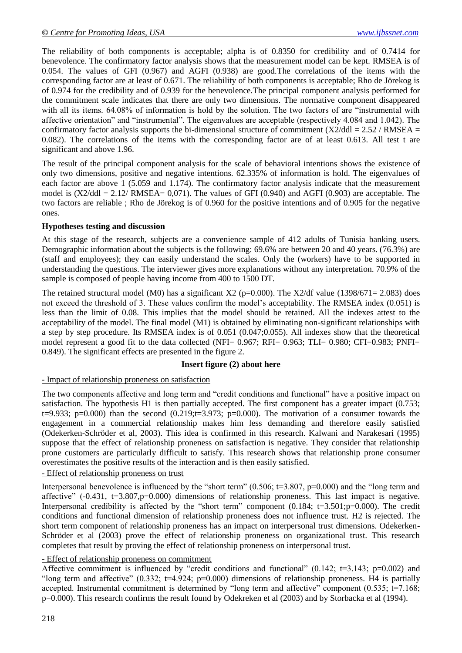The reliability of both components is acceptable; alpha is of 0.8350 for credibility and of 0.7414 for benevolence. The confirmatory factor analysis shows that the measurement model can be kept. RMSEA is of 0.054. The values of GFI (0.967) and AGFI (0.938) are good.The correlations of the items with the corresponding factor are at least of 0.671. The reliability of both components is acceptable; Rho de Jörekog is of 0.974 for the credibility and of 0.939 for the benevolence.The principal component analysis performed for the commitment scale indicates that there are only two dimensions. The normative component disappeared with all its items. 64.08% of information is hold by the solution. The two factors of are "instrumental with affective orientation" and "instrumental". The eigenvalues are acceptable (respectively 4.084 and 1.042). The confirmatory factor analysis supports the bi-dimensional structure of commitment  $(X2/dd) = 2.52 / RMSEA$ 0.082). The correlations of the items with the corresponding factor are of at least 0.613. All test t are significant and above 1.96.

The result of the principal component analysis for the scale of behavioral intentions shows the existence of only two dimensions, positive and negative intentions. 62.335% of information is hold. The eigenvalues of each factor are above 1 (5.059 and 1.174). The confirmatory factor analysis indicate that the measurement model is  $(X2/dd) = 2.12/RMSEA = 0.071$ . The values of GFI  $(0.940)$  and AGFI  $(0.903)$  are acceptable. The two factors are reliable ; Rho de Jörekog is of 0.960 for the positive intentions and of 0.905 for the negative ones.

# **Hypotheses testing and discussion**

At this stage of the research, subjects are a convenience sample of 412 adults of Tunisia banking users. Demographic information about the subjects is the following: 69.6% are between 20 and 40 years. (76.3%) are (staff and employees); they can easily understand the scales. Only the (workers) have to be supported in understanding the questions. The interviewer gives more explanations without any interpretation. 70.9% of the sample is composed of people having income from 400 to 1500 DT.

The retained structural model (M0) has a significant X2 (p=0.000). The X2/df value (1398/671= 2.083) does not exceed the threshold of 3. These values confirm the model's acceptability. The RMSEA index (0.051) is less than the limit of 0.08. This implies that the model should be retained. All the indexes attest to the acceptability of the model. The final model (M1) is obtained by eliminating non-significant relationships with a step by step procedure. Its RMSEA index is of 0.051 (0.047;0.055). All indexes show that the theoretical model represent a good fit to the data collected (NFI= 0.967; RFI= 0.963; TLI= 0.980; CFI=0.983; PNFI= 0.849). The significant effects are presented in the figure 2.

#### **Insert figure (2) about here**

# - Impact of relationship proneness on satisfaction

The two components affective and long term and "credit conditions and functional" have a positive impact on satisfaction. The hypothesis H1 is then partially accepted. The first component has a greater impact (0.753; t=9.933; p=0.000) than the second  $(0.219; t=3.973; p=0.000)$ . The motivation of a consumer towards the engagement in a commercial relationship makes him less demanding and therefore easily satisfied (Odekerken-Schröder et al, 2003). This idea is confirmed in this research. Kalwani and Narakesari (1995) suppose that the effect of relationship proneness on satisfaction is negative. They consider that relationship prone customers are particularly difficult to satisfy. This research shows that relationship prone consumer overestimates the positive results of the interaction and is then easily satisfied.

# - Effect of relationship proneness on trust

Interpersonal benevolence is influenced by the "short term" (0.506; t=3.807, p=0.000) and the "long term and affective" (-0.431, t=3.807,p=0.000) dimensions of relationship proneness. This last impact is negative. Interpersonal credibility is affected by the "short term" component (0.184; t=3.501;p=0.000). The credit conditions and functional dimension of relationship proneness does not influence trust. H2 is rejected. The short term component of relationship proneness has an impact on interpersonal trust dimensions. Odekerken-Schröder et al (2003) prove the effect of relationship proneness on organizational trust. This research completes that result by proving the effect of relationship proneness on interpersonal trust.

# - Effect of relationship proneness on commitment

Affective commitment is influenced by "credit conditions and functional" (0.142;  $t=3.143$ ; p=0.002) and "long term and affective"  $(0.332; t=4.924; p=0.000)$  dimensions of relationship proneness. H4 is partially accepted. Instrumental commitment is determined by "long term and affective" component  $(0.535; t=7.168;$ p=0.000). This research confirms the result found by Odekreken et al (2003) and by Storbacka et al (1994).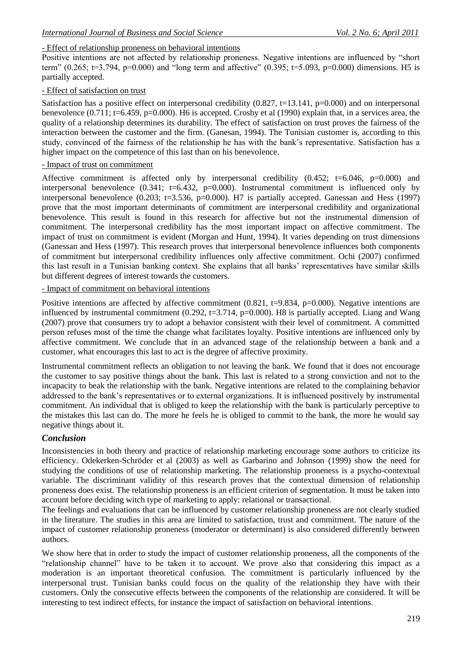# - Effect of relationship proneness on behavioral intentions

Positive intentions are not affected by relationship proneness. Negative intentions are influenced by "short term" (0.265; t=3.794, p=0.000) and "long term and affective" (0.395; t=5.093, p=0.000) dimensions. H5 is partially accepted.

# - Effect of satisfaction on trust

Satisfaction has a positive effect on interpersonal credibility (0.827, t=13.141, p=0.000) and on interpersonal benevolence  $(0.711; t=6.459, p=0.000)$ . H6 is accepted. Crosby et al (1990) explain that, in a services area, the quality of a relationship determines its durability. The effect of satisfaction on trust proves the fairness of the interaction between the customer and the firm. (Ganesan, 1994). The Tunisian customer is, according to this study, convinced of the fairness of the relationship he has with the bank's representative. Satisfaction has a higher impact on the competence of this last than on his benevolence.

#### - Impact of trust on commitment

Affective commitment is affected only by interpersonal credibility  $(0.452; t=6.046, p=0.000)$  and interpersonal benevolence (0.341; t=6.432, p=0.000). Instrumental commitment is influenced only by interpersonal benevolence (0.203; t=3.536, p=0.000). H7 is partially accepted. Ganessan and Hess (1997) prove that the most important determinants of commitment are interpersonal credibility and organizational benevolence. This result is found in this research for affective but not the instrumental dimension of commitment. The interpersonal credibility has the most important impact on affective commitment. The impact of trust on commitment is evident (Morgan and Hunt, 1994). It varies depending on trust dimensions (Ganessan and Hess (1997). This research proves that interpersonal benevolence influences both components of commitment but interpersonal credibility influences only affective commitment. Ochi (2007) confirmed this last result in a Tunisian banking context. She explains that all banks' representatives have similar skills but different degrees of interest towards the customers.

### - Impact of commitment on behavioral intentions

Positive intentions are affected by affective commitment  $(0.821, t=9.834, p=0.000)$ . Negative intentions are influenced by instrumental commitment (0.292, t=3.714,  $p=0.000$ ). H8 is partially accepted. Liang and Wang (2007) prove that consumers try to adopt a behavior consistent with their level of commitment. A committed person refuses most of the time the change what facilitates loyalty. Positive intentions are influenced only by affective commitment. We conclude that in an advanced stage of the relationship between a bank and a customer, what encourages this last to act is the degree of affective proximity.

Instrumental commitment reflects an obligation to not leaving the bank. We found that it does not encourage the customer to say positive things about the bank. This last is related to a strong conviction and not to the incapacity to beak the relationship with the bank. Negative intentions are related to the complaining behavior addressed to the bank's representatives or to external organizations. It is influenced positively by instrumental commitment. An individual that is obliged to keep the relationship with the bank is particularly perceptive to the mistakes this last can do. The more he feels he is obliged to commit to the bank, the more he would say negative things about it.

# *Conclusion*

Inconsistencies in both theory and practice of relationship marketing encourage some authors to criticize its efficiency. Odekerken-Schröder et al (2003) as well as Garbarino and Johnson (1999) show the need for studying the conditions of use of relationship marketing. The relationship proneness is a psycho-contextual variable. The discriminant validity of this research proves that the contextual dimension of relationship proneness does exist. The relationship proneness is an efficient criterion of segmentation. It must be taken into account before deciding witch type of marketing to apply: relational or transactional.

The feelings and evaluations that can be influenced by customer relationship proneness are not clearly studied in the literature. The studies in this area are limited to satisfaction, trust and commitment. The nature of the impact of customer relationship proneness (moderator or determinant) is also considered differently between authors.

We show here that in order to study the impact of customer relationship proneness, all the components of the "relationship channel" have to be taken it to account. We prove also that considering this impact as a moderation is an important theoretical confusion. The commitment is particularly influenced by the interpersonal trust. Tunisian banks could focus on the quality of the relationship they have with their customers. Only the consecutive effects between the components of the relationship are considered. It will be interesting to test indirect effects, for instance the impact of satisfaction on behavioral intentions.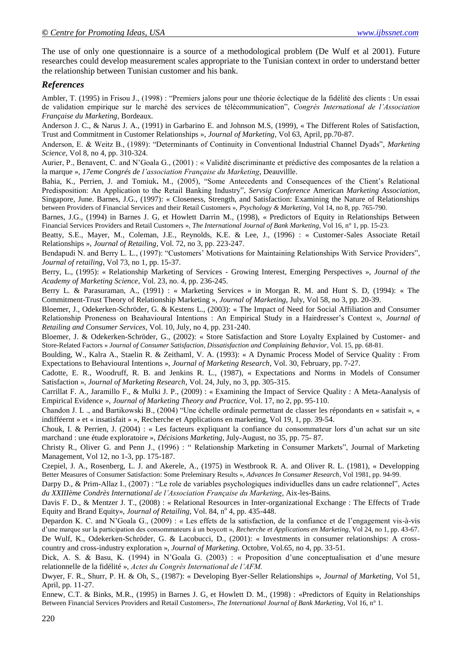The use of only one questionnaire is a source of a methodological problem (De Wulf et al 2001). Future researches could develop measurement scales appropriate to the Tunisian context in order to understand better the relationship between Tunisian customer and his bank.

# *References*

Ambler, T. (1995) in Frisou J., (1998) : "Premiers jalons pour une théorie éclectique de la fidélité des clients : Un essai de validation empirique sur le marché des services de télécommunication", *Congrès International de l'Association Française du Marketing*, Bordeaux.

Anderson J. C., & Narus J. A., (1991) in Garbarino E. and Johnson M.S, (1999), « The Different Roles of Satisfaction, Trust and Commitment in Customer Relationships », *Journal of Marketing*, Vol 63, April, pp.70-87.

Anderson, E. & Weitz B., (1989): "Determinants of Continuity in Conventional Industrial Channel Dyads", *Marketing Science*, Vol 8, no 4, pp. 310-324.

Aurier, P., Benavent, C. and N'Goala G., (2001) : « Validité discriminante et prédictive des composantes de la relation a la marque », *17eme Congrés de l'association Française du Marketing*, Deauvillle.

Bahia, K., Perrien, J. and Tomiuk**.** M., (2005), "Some Antecedents and Consequences of the Client's Relational Predisposition: An Application to the Retail Banking Industry", *Servsig Conference* American *Marketing Association*, Singapore, June. Barnes, J.G., (1997): « Closeness, Strength, and Satisfaction: Examining the Nature of Relationships between Providers of Financial Services and their Retail Customers », *Psychology & Marketing,* Vol 14, no 8, pp. 765-790.

Barnes, J.G., (1994) in Barnes J. G, et Howlett Darrin M., (1998), « Predictors of Equity in Relationships Between Financial Services Providers and Retail Customers », *The International Journal of Bank Marketing*, Vol 16, n° 1, pp. 15-23.

Beatty, S.E., Mayer, M., Coleman, J.E., Reynolds, K.E. & Lee, J., (1996) : « Customer-Sales Associate Retail Relationships », *Journal of Retailing*, Vol. 72, no 3, pp. 223-247.

Bendapudi N. and Berry L. L., (1997): "Customers' Motivations for Maintaining Relationships With Service Providers", *Journal of retailing*, Vol 73, no 1, pp. 15-37.

Berry, L., (1995): « Relationship Marketing of Services - Growing Interest, Emerging Perspectives », *Journal of the Academy of Marketing Science*, Vol. 23, no. 4, pp. 236-245.

Berry L. & Parasuraman, A., (1991) : « Marketing Services » in Morgan R. M. and Hunt S. D, (1994): « The Commitment-Trust Theory of Relationship Marketing », *Journal of Marketing,* July, Vol 58, no 3, pp. 20-39.

Bloemer, J., Odekerken-Schröder, G. & Kestens L., (2003): « The Impact of Need for Social Affiliation and Consumer Relationship Proneness on Beahavioural Intentions : An Empirical Study in a Hairdresser's Context », *Journal of Retailing and Consumer Services*, Vol. 10, July, no 4, pp. 231-240.

Bloemer, J. & Odekerken-Schröder, G., (2002): « Store Satisfaction and Store Loyalty Explained by Customer- and Store-Related Factors » *Journal of Consumer Satisfaction, Dissatisfaction and Complaining Behavior*, Vol. 15, pp. 68-81.

Boulding, W., Kalra A., Staelin R. & Zeithaml, V. A. (1993): « A Dynamic Process Model of Service Quality : From Expectations to Behavioural Intentions », *Journal of Marketing Research*, Vol. 30, February, pp. 7-27.

Cadotte, E. R., Woodruff, R. B. and Jenkins R. L., (1987), « Expectations and Norms in Models of Consumer Satisfaction », *Journal of Marketing Research*, Vol. 24, July, no 3, pp. 305-315.

Carrillat F. A., Jaramillo F., & Mulki J. P., (2009) : « Examining the Impact of Service Quality : A Meta-Aanalysis of Empirical Evidence », *Journal of Marketing Theory and Practice*, Vol. 17, no 2, pp. 95-110.

Chandon J. L ., and Bartikowski B., (2004) "Une échelle ordinale permettant de classer les répondants en « satisfait », « indifféernt » et « insatisfait » », Recherche et Applications en marketing, Vol 19, 1, pp. 39-54.

Chouk, I. & Perrien, J. (2004) : « Les facteurs expliquant la confiance du consommateur lors d'un achat sur un site marchand : une étude exploratoire », *Décisions Marketing*, July-August, no 35, pp. 75- 87.

Christy R., Oliver G. and Penn J., (1996) : " Relationship Marketing in Consumer Markets", Journal of Marketing Management, Vol 12, no 1-3, pp. 175-187.

Czepiel, J. A., Rosenberg, L. J. and Akerele, A., (1975) in Westbrook R. A. and Oliver R. L. (1981), « Developping Better Measures of Consumer Satisfaction: Some Preleminary Results », *Advances In Consumer Research*, Vol 1981, pp. 94-99.

Darpy D., & Prim-Allaz I., (2007) : "Le role de variables psychologiques individuelles dans un cadre relationnel", Actes *du XXIIIème Condrès International de l'Association Française du Marketing*, Aix-les-Bains.

Davis F. D., & Mentzer J. T., (2008) : « Relational Resources in Inter-organizational Exchange : The Effects of Trade Equity and Brand Equity», *Journal of Retailing*, Vol. 84, nº 4, pp. 435-448.

Depardon K. C. and N'Goala G., (2009) : « Les effets de la satisfaction, de la confiance et de l'engagement vis-à-vis d'une marque sur la participation des consommateurs à un boycott », *Recherche et Applications en Marketing*, Vol 24, no 1, pp. 43-67. De Wulf, K., Odekerken-Schröder, G. & Lacobucci, D., (2001): « Investments in consumer relationships: A crosscountry and cross-industry exploration », *Journal of Marketing.* Octobre, Vol.65, no 4, pp. 33-51.

Dick, A. S. & Basu, K. (1994) in N'Goala G. (2003) : « Proposition d'une conceptualisation et d'une mesure relationnelle de la fidélité », *Actes du Congrès International de l'AFM.*

Dwyer, F. R., Shurr, P. H. & Oh, S., (1987): « Developing Byer-Seller Relationships », *Journal of Marketing*, Vol 51, April, pp. 11-27.

Ennew, C.T. & Binks, M.R., (1995) in Barnes J. G, et Howlett D. M., (1998) : «Predictors of Equity in Relationships Between Financial Services Providers and Retail Customers», *The International Journal of Bank Marketing*, Vol 16, n° 1.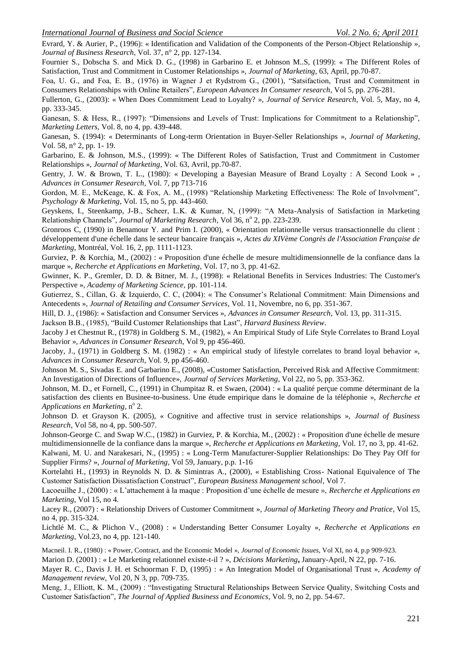Evrard, Y. & Aurier, P., (1996): « Identification and Validation of the Components of the Person-Object Relationship »*, Journal of Business Research*, Vol. 37, n° 2, pp. 127-134.

Fournier S., Dobscha S. and Mick D. G., (1998) in Garbarino E. et Johnson M..S, (1999): « The Different Roles of Satisfaction, Trust and Commitment in Customer Relationships », *Journal of Marketing*, 63, April, pp.70-87.

Foa, U. G., and Foa, E. B., (1976) in Wagner J et Rydstrom G., (2001), "Satsifaction, Trust and Commitment in Consumers Relationships with Online Retailers", *European Advances In Consumer research*, Vol 5, pp. 276-281.

Fullerton, G., (2003): « When Does Commitment Lead to Loyalty? », *Journal of Service Research*, Vol. 5, May, no 4, pp. 333-345.

Ganesan, S. & Hess, R., (1997): "Dimensions and Levels of Trust: Implications for Commitment to a Relationship", *Marketing Letters,* Vol. 8, no 4, pp. 439-448.

Ganesan, S. (1994): « Determinants of Long-term Orientation in Buyer-Seller Relationships », *Journal of Marketing*, Vol. 58, n° 2, pp. 1- 19.

Garbarino, E. & Johnson, M.S., (1999): « The Different Roles of Satisfaction, Trust and Commitment in Customer Relationships », *Journal of Marketing*, Vol. 63, Avril, pp.70-87.

Gentry, J. W. & Brown, T. L., (1980): « Developing a Bayesian Measure of Brand Loyalty : A Second Look », *Advances in Consumer Research*, Vol. 7, pp 713-716

Gordon, M. E., McKeage, K. & Fox, A. M., (1998) "Relationship Marketing Effectiveness: The Role of Involvment", *Psychology & Marketing*, Vol. 15, no 5, pp. 443-460.

Geyskens, I., Steenkamp, J-B., Scheer, L.K. & Kumar, N, (1999): "A Meta-Analysis of Satisfaction in Marketing Relationship Channels", *Journal of Marketing Research*, Vol 36, nº 2, pp. 223-239.

Gronroos C, (1990) in Benamour Y. and Prim I. (2000), « Orientation relationnelle versus transactionnelle du client : développement d'une échelle dans le secteur bancaire français », *Actes du XIVème Congrès de l'Association Française de Marketing*, Montréal, Vol. 16, 2, pp. 1111-1123.

Gurviez, P. & Korchia, M., (2002) : « Proposition d'une échelle de mesure multidimensionnelle de la confiance dans la marque », *Recherche et Applications en Marketing*, Vol. 17, no 3, pp. 41-62.

Gwinner, K. P., Gremler, D. D. & Bitner, M. J., (1998): « Relational Benefits in Services Industries: The Customer's Perspective », *Academy of Marketing Science,* pp. 101-114.

Gutierrez, S., Cillan, G. & Izquierdo, C. C, (2004): « The Consumer's Relational Commitment: Main Dimensions and Antecedents », *Journal of Retailing and Consumer Services*, Vol. 11, Novembre, no 6, pp. 351-367.

Hill, D. J., (1986): « Satisfaction and Consumer Services », *Advances in Consumer Research*, Vol. 13, pp. 311-315.

Jackson B.B., (1985), "Build Customer Relationships that Last", *Harvard Business Review*.

Jacoby J et Chestnut R., (1978) in Goldberg S. M., (1982), « An Empirical Study of Life Style Correlates to Brand Loyal Behavior », *Advances in Consumer Research*, Vol 9, pp 456-460.

Jacoby, J., (1971) in Goldberg S. M. (1982) : « An empirical study of lifestyle correlates to brand loyal behavior », *Advances in Consumer Research*, Vol. 9, pp 456-460.

Johnson M. S., Sivadas E. and Garbarino E., (2008), «Customer Satisfaction, Perceived Risk and Affective Commitment: An Investigation of Directions of Influence», *Journal of Services Marketing*, Vol 22, no 5, pp. 353-362.

Johnson, M. D., et Fornell, C., (1991) in Chumpitaz R. et Swaen, (2004) : « La qualité perçue comme déterminant de la satisfaction des clients en Businee-to-business. Une étude empirique dans le domaine de la téléphonie », *Recherche et*  Applications en Marketing, n<sup>o</sup> 2.

Johnson D. et Grayson K. (2005), « Cognitive and affective trust in service relationships », *Journal of Business Research*, Vol 58, no 4, pp. 500-507.

Johnson-George C. and Swap W.C., (1982) in Gurviez, P. & Korchia, M., (2002) : « Proposition d'une échelle de mesure multidimensionnelle de la confiance dans la marque », *Recherche et Applications en Marketing*, Vol. 17, no 3, pp. 41-62.

Kalwani, M. U. and Narakesari, N., (1995) : « Long-Term Manufacturer-Supplier Relationships: Do They Pay Off for Supplier Firms? », *Journal of Marketing*, Vol 59, January, p.p. 1-16

Kortelahti H., (1993) in Reynolds N. D. & Simintras A., (2000), « Establishing Cross- National Equivalence of The Customer Satisfaction Dissatisfaction Construct", *European Business Management school*, Vol 7.

Lacoeuilhe J., (2000) : « L'attachement à la maque : Proposition d'une échelle de mesure », *Recherche et Applications en Marketing*, Vol 15, no 4.

Lacey R., (2007) : « Relationship Drivers of Customer Commitment », *Journal of Marketing Theory and Pratice*, Vol 15, no 4, pp. 315-324.

Lichtlé M. C., & Plichon V., (2008) : « Understanding Better Consumer Loyalty », *Recherche et Applications en Marketing*, Vol.23, no 4, pp. 121-140.

Macneil. I. R., (1980) : « Power, Contract, and the Economic Model », *Journal of Economic Issues*, Vol XI, no 4, p.p 909-923.

Marion D. (2001) : « Le Marketing relationnel existe-t-il ? », *Décisions Marketing***,** January-April, N 22, pp. 7-16.

Mayer R. C., Davis J. H. et Schoorman F. D, (1995) : « An Integration Model of Organisational Trust », *Academy of Management review*, Vol 20, N 3, pp. 709-735.

Meng, J., Elliott, K. M., (2009) : "Investigating Structural Relationships Between Service Quality, Switching Costs and Customer Satisfaction", *The Journal of Applied Business and Economics,* Vol. 9, no 2, pp. 54-67.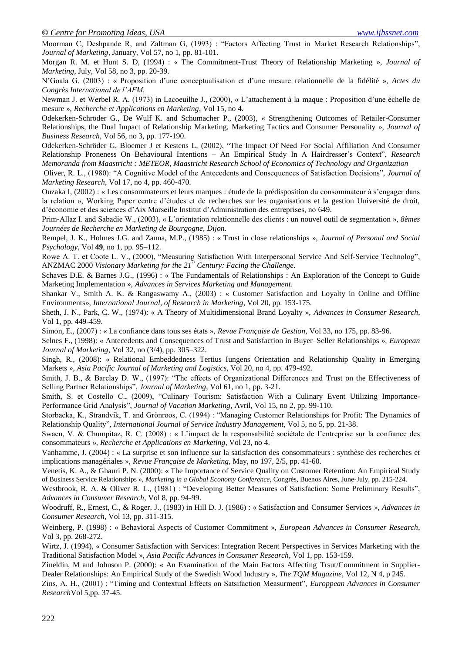Moorman C, Deshpande R, and Zaltman G, (1993) : "Factors Affecting Trust in Market Research Relationships", *Journal of Marketing*, January, Vol 57, no 1, pp. 81-101.

Morgan R. M. et Hunt S. D, (1994) : « The Commitment-Trust Theory of Relationship Marketing », *Journal of Marketing,* July, Vol 58, no 3, pp. 20-39.

N'Goala G. (2003) : « Proposition d'une conceptualisation et d'une mesure relationnelle de la fidélité », *Actes du Congrès International de l'AFM.*

Newman J. et Werbel R. A. (1973) in Lacoeuilhe J., (2000), « L'attachement à la maque : Proposition d'une échelle de mesure », *Recherche et Applications en Marketing*, Vol 15, no 4.

Odekerken-Schröder G., De Wulf K. and Schumacher P., (2003), « Strengthening Outcomes of Retailer-Consumer Relationships, the Dual Impact of Relationship Marketing, Marketing Tactics and Consumer Personality », *Journal of Business Research,* Vol 56, no 3, pp. 177-190.

Odekerken-Schröder G, Bloemer J et Kestens L, (2002), "The Impact Of Need For Social Affiliation And Consumer Relationship Proneness On Behavioural Intentions – An Empirical Study In A Hairdresser's Context", *Research Memoranda from Maastricht : METEOR, Maastricht Research School of Economics of Technology and Organization*

Oliver, R. L., (1980): "A Cognitive Model of the Antecedents and Consequences of Satisfaction Decisions", *Journal of Marketing Research*, Vol 17, no 4, pp. 460-470.

Ouzaka I, (2002) : « Les consommateurs et leurs marques : étude de la prédisposition du consommateur à s'engager dans la relation », Working Paper centre d'études et de recherches sur les organisations et la gestion Université de droit, d'économie et des sciences d'Aix Marseille Institut d'Administration des entreprises, no 649.

Prim-Allaz I. and Sabadie W., (2003), « L'orientation relationnelle des clients : un nouvel outil de segmentation », *8èmes Journées de Recherche en Marketing de Bourgogne, Dijon.*

Rempel, J. K., Holmes J.G. and Zanna, M.P., (1985) : « Trust in close relationships », *Journal of Personal and Social Psychology*, Vol **49**, no 1, pp. 95–112.

Rowe A. T. et Coote L. V., (2000), "Measuring Satisfaction With Interpersonal Service And Self-Service Technolog", ANZMAC 2000 *Visionary Marketing for the 21st Century: Facing the Challenge.*

Schaves D.E. & Barnes J.G., (1996) : « The Fundamentals of Relationships : An Exploration of the Concept to Guide Marketing Implementation », *Advances in Services Marketing and Management*.

Shankar V., Smith A. K. & Rangaswamy A., (2003) : « Customer Satisfaction and Loyalty in Online and Offline Environments», *International Journal, of Research in Marketing*, Vol 20, pp. 153-175.

Sheth, J. N., Park, C. W., (1974): « A Theory of Multidimensional Brand Loyalty », *Advances in Consumer Research*, Vol 1, pp. 449-459.

Simon, E., (2007) : « La confiance dans tous ses états », *Revue Française de Gestion*, Vol 33, no 175, pp. 83-96.

Selnes F., (1998): « Antecedents and Consequences of Trust and Satisfaction in Buyer–Seller Relationships », *European Journal of Marketing*, Vol 32, no (3/4), pp. 305–322.

Singh, R., (2008): « Relational Embeddedness Tertius Iungens Orientation and Relationship Quality in Emerging Markets », *Asia Pacific Journal of Marketing and Logistics*, Vol 20, no 4, pp. 479-492.

Smith, J. B., & Barclay D. W., (1997): "The effects of Organizational Differences and Trust on the Effectiveness of Selling Partner Relationships", *Journal of Marketing*, Vol 61, no 1, pp. 3-21.

Smith, S. et Costello C., (2009), "Culinary Tourism: Satisfaction With a Culinary Event Utilizing Importance-Performance Grid Analysis", *Journal of Vacation Marketing*, Avril, Vol 15, no 2, pp. 99-110.

Storbacka, K., Strandvik, T. and Grönroos, C. (1994) : "Managing Customer Relationships for Profit: The Dynamics of Relationship Quality", *International Journal of Service Industry Management,* Vol 5, no 5, pp. 21-38.

Swaen, V. & Chumpitaz, R. C. (2008) : « L'impact de la responsabilité sociétale de l'entreprise sur la confiance des consommateurs », *Recherche et Applications en Marketing*, Vol 23, no 4.

Vanhamme, J. (2004) : « La surprise et son influence sur la satisfaction des consommateurs : synthèse des recherches et implications managériales », *Revue Française de Marketing*, May, no 197, 2/5, pp. 41-60.

Venetis, K. A., & Ghauri P. N. (2000): « The Importance of Service Quality on Customer Retention: An Empirical Study of Business Service Relationships », *Marketing in a Global Economy Conference*, Congrès, Buenos Aires, June-July, pp. 215-224.

Westbrook, R. A. & Oliver R. L., (1981) : "Developing Better Measures of Satisfaction: Some Preliminary Results", *Advances in Consumer Research*, Vol 8, pp. 94-99.

Woodruff, R., Ernest, C., & Roger, J., (1983) in Hill D. J. (1986) : « Satisfaction and Consumer Services », *Advances in Consumer Research*, Vol 13, pp. 311-315.

Weinberg, P. (1998) : « Behavioral Aspects of Customer Commitment », *European Advances in Consumer Research*, Vol 3, pp. 268-272.

Wirtz, J. (1994), « Consumer Satisfaction with Services: Integration Recent Perspectives in Services Marketing with the Traditional Satisfaction Model », *Asia Pacific Advances in Consumer Research*, Vol 1, pp. 153-159.

Zineldin, M and Johnson P. (2000): « An Examination of the Main Factors Affecting Trsut/Commitment in Supplier-Dealer Relationships: An Empirical Study of the Swedish Wood Industry », *The TQM Magazine*, Vol 12, N 4, p 245.

Zins, A. H., (2001) : "Timing and Contextual Effects on Satsifaction Measurment", *Europpean Advances in Consumer Research*Vol 5,pp. 37-45.